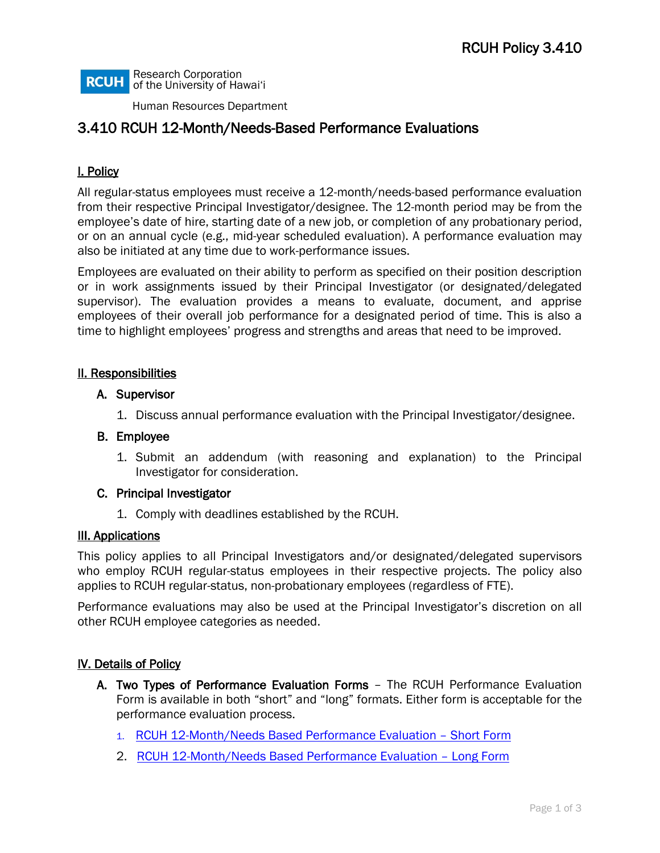Research Corporation **RCUH** of the University of Hawai'i

Human Resources Department

# 3.410 RCUH 12-Month/Needs-Based Performance Evaluations

## I. Policy

All regular-status employees must receive a 12-month/needs-based performance evaluation from their respective Principal Investigator/designee. The 12-month period may be from the employee's date of hire, starting date of a new job, or completion of any probationary period, or on an annual cycle (e.g., mid-year scheduled evaluation). A performance evaluation may also be initiated at any time due to work-performance issues.

Employees are evaluated on their ability to perform as specified on their position description or in work assignments issued by their Principal Investigator (or designated/delegated supervisor). The evaluation provides a means to evaluate, document, and apprise employees of their overall job performance for a designated period of time. This is also a time to highlight employees' progress and strengths and areas that need to be improved.

### II. Responsibilities

#### A. Supervisor

1. Discuss annual performance evaluation with the Principal Investigator/designee.

#### B. Employee

1. Submit an addendum (with reasoning and explanation) to the Principal Investigator for consideration.

#### C. Principal Investigator

1. Comply with deadlines established by the RCUH.

#### III. Applications

This policy applies to all Principal Investigators and/or designated/delegated supervisors who employ RCUH regular-status employees in their respective projects. The policy also applies to RCUH regular-status, non-probationary employees (regardless of FTE).

Performance evaluations may also be used at the Principal Investigator's discretion on all other RCUH employee categories as needed.

#### IV. Details of Policy

- A. Two Types of Performance Evaluation Forms The RCUH Performance Evaluation Form is available in both "short" and "long" formats. Either form is acceptable for the performance evaluation process.
	- 1. [RCUH 12-Month/Needs Based Performance Evaluation –](https://www.rcuh.com/wp-content/uploads/2021/08/Final-2021-New-Short-Form-Perf-Evaluation-Average-REV-edit-1.xlsx) Short Form
	- 2. [RCUH 12-Month/Needs Based Performance Evaluation –](https://www.rcuh.com/wp-content/uploads/2021/08/Final-2021-New-Long-Form-Perf-Eval-Form-Section-Average-REV-edit-2.xlsx) Long Form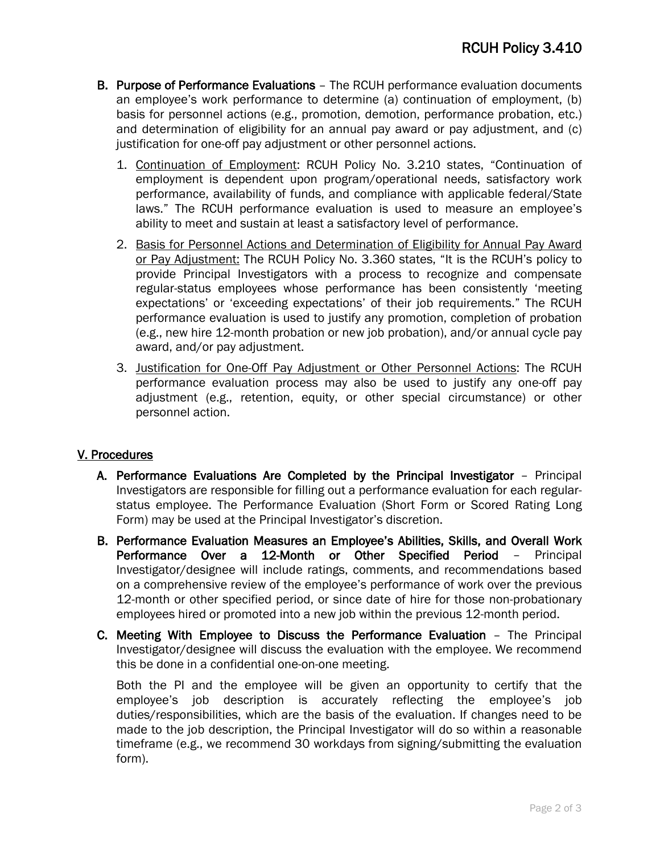- B. Purpose of Performance Evaluations The RCUH performance evaluation documents an employee's work performance to determine (a) continuation of employment, (b) basis for personnel actions (e.g., promotion, demotion, performance probation, etc.) and determination of eligibility for an annual pay award or pay adjustment, and (c) justification for one-off pay adjustment or other personnel actions.
	- 1. Continuation of Employment: RCUH Policy No. 3.210 states, "Continuation of employment is dependent upon program/operational needs, satisfactory work performance, availability of funds, and compliance with applicable federal/State laws." The RCUH performance evaluation is used to measure an employee's ability to meet and sustain at least a satisfactory level of performance.
	- 2. Basis for Personnel Actions and Determination of Eligibility for Annual Pay Award or Pay Adjustment: The RCUH Policy No. 3.360 states, "It is the RCUH's policy to provide Principal Investigators with a process to recognize and compensate regular-status employees whose performance has been consistently 'meeting expectations' or 'exceeding expectations' of their job requirements." The RCUH performance evaluation is used to justify any promotion, completion of probation (e.g., new hire 12-month probation or new job probation), and/or annual cycle pay award, and/or pay adjustment.
	- 3. Justification for One-Off Pay Adjustment or Other Personnel Actions: The RCUH performance evaluation process may also be used to justify any one-off pay adjustment (e.g., retention, equity, or other special circumstance) or other personnel action.

## V. Procedures

- A. Performance Evaluations Are Completed by the Principal Investigator Principal Investigators are responsible for filling out a performance evaluation for each regularstatus employee. The Performance Evaluation (Short Form or Scored Rating Long Form) may be used at the Principal Investigator's discretion.
- B. Performance Evaluation Measures an Employee's Abilities, Skills, and Overall Work Performance Over a 12-Month or Other Specified Period – Principal Investigator/designee will include ratings, comments, and recommendations based on a comprehensive review of the employee's performance of work over the previous 12-month or other specified period, or since date of hire for those non-probationary employees hired or promoted into a new job within the previous 12-month period.
- C. Meeting With Employee to Discuss the Performance Evaluation The Principal Investigator/designee will discuss the evaluation with the employee. We recommend this be done in a confidential one-on-one meeting.

Both the PI and the employee will be given an opportunity to certify that the employee's job description is accurately reflecting the employee's job duties/responsibilities, which are the basis of the evaluation. If changes need to be made to the job description, the Principal Investigator will do so within a reasonable timeframe (e.g., we recommend 30 workdays from signing/submitting the evaluation form).